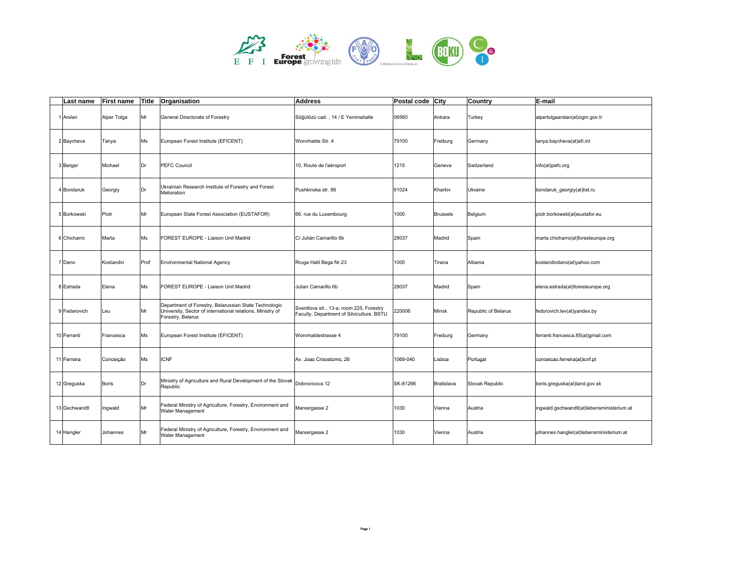

| Last name     | <b>First name</b> | Title | Organisation                                                                                                                             | <b>Address</b>                                                                        | Postal code City |                 | Country             | E-mail                                     |
|---------------|-------------------|-------|------------------------------------------------------------------------------------------------------------------------------------------|---------------------------------------------------------------------------------------|------------------|-----------------|---------------------|--------------------------------------------|
| 1 Arslan      | Alper Tolga       | Mr    | General Directorate of Forestry                                                                                                          | Söğütözü cad., 14 / E Yenimahalle                                                     | 06560            | Ankara          | Turkey              | alpertolgaarslan(at)ogm.gov.tr             |
| 2 Baycheva    | Tanya             | Ms    | European Forest Institute (EFICENT)                                                                                                      | Wonnhalde Str. 4                                                                      | 79100            | Freiburg        | Germany             | tanya.baycheva(at)efi.int                  |
| 3 Berger      | Michael           | Dr    | <b>PEFC Council</b>                                                                                                                      | 10, Route de l'aéroport                                                               | 1215             | Geneva          | Switzerland         | info(at)pefc.org                           |
| 4 Bondaruk    | Georgiy           | Dr    | Ukrainian Research Institute of Forestry and Forest<br>Melioration                                                                       | Pushkinska str. 86                                                                    | 61024            | Kharkiv         | Ukraine             | bondaruk georgiy(at)list.ru                |
| 5 Borkowski   | Piotr             | Mr    | European State Forest Association (EUSTAFOR)                                                                                             | 66, rue du Luxembourg                                                                 | 1000             | <b>Brussels</b> | Belgium             | piotr.borkowski(at)eustafor.eu             |
| 6 Chicharro   | Marta             | Ms    | FOREST EUROPE - Liaison Unit Madrid                                                                                                      | C/ Julián Camarillo 6b                                                                | 28037            | Madrid          | Spain               | marta.chicharro(at)foresteurope.org        |
| 7 Dano        | Kostandin         | Prof  | <b>Environmental National Agency</b>                                                                                                     | Rruga Halil Bega Nr.23                                                                | 1000             | Tirana          | Albania             | kostandindano(at)yahoo.com                 |
| 8 Estrada     | Elena             | Ms    | FOREST EUROPE - Liaison Unit Madrid                                                                                                      | Julian Camarillo 6b                                                                   | 28037            | Madrid          | Spain               | elena.estrada(at)foresteurope.org          |
| 9 Fedarovich  | Leu               | Mr    | Department of Forestry, Belarussian State Technologic<br>University, Sector of international relations, Ministry of<br>Forestry, Belarus | Sverdlova str., 13-a, room 225, Forestry<br>Faculty, Department of Silviculture, BSTU | 220006           | Minsk           | Republic of Belarus | fedorovich.lev(at)yandex.by                |
| 10 Ferranti   | Francesca         | Ms    | European Forest Institute (EFICENT)                                                                                                      | Wonnhaldestrasse 4                                                                    | 79100            | Freiburg        | Germany             | ferranti.francesca.85(at)gmail.com         |
| 11 Ferreira   | Conceição         | Ms    | <b>ICNF</b>                                                                                                                              | Av. Joao Crisostomo, 26                                                               | 1069-040         | Lisboa          | Portugal            | conceicao.ferreira(at)icnf.pt              |
| 12 Greguska   | <b>Boris</b>      | Dr    | Ministry of Agriculture and Rural Development of the Slovak<br>Republic                                                                  | Dobrovicova 12                                                                        | SK-81266         | Bratislava      | Slovak Republic     | boris.greguska(at)land.gov.sk              |
| 13 Gschwandtl | Ingwald           | Mr    | Federal Ministry of Agriculture, Forestry, Environment and<br>Water Management                                                           | Marxergasse 2                                                                         | 1030             | Vienna          | Austria             | ingwald.gschwandtl(at)lebensministerium.at |
| 14 Hangler    | Johannes          | Mr    | Federal Ministry of Agriculture, Forestry, Environment and<br>Water Management                                                           | Marxergasse 2                                                                         | 1030             | Vienna          | Austria             | johannes.hangler(at)lebensministerium.at   |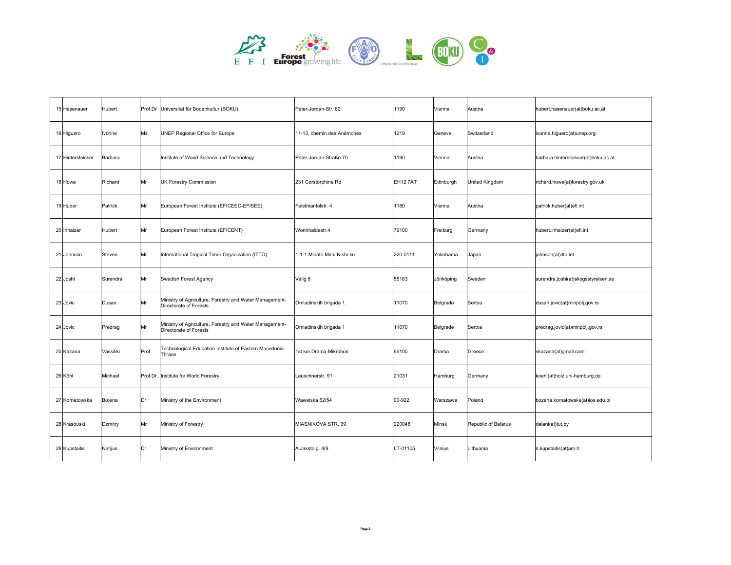

| 15 Hasenauer      | Hubert    |      | Prof.Dr Universität für Bodenkultur (BOKU)                                        | Peter-Jordan-Str. 82        | 1190     | Vienna    | Austria             | hubert.hasenauer(at)boku.ac.at       |
|-------------------|-----------|------|-----------------------------------------------------------------------------------|-----------------------------|----------|-----------|---------------------|--------------------------------------|
| 16 Higuero        | Ivonne    | Ms   | UNEP Regional Office for Europe                                                   | 11-13, chemin des Anémones  | 1219     | Geneva    | Switzerland         | ivonne.higuero(at)unep.org           |
| 17 Hinterstoisser | Barbara   |      | Institute of Wood Science and Technology                                          | Peter-Jordan-Straße 70      | 1190     | Vienna    | Austria             | barbara.hinterstoisser(at)boku.ac.at |
| 18 Howe           | Richard   | Mr   | <b>UK Forestry Commission</b>                                                     | 231 Corstorphine Rd         | EH12 7AT | Edinburgh | United Kingdom      | richard.howe(at)forestry.gov.uk      |
| 19 Huber          | Patrick   | Mr   | European Forest Institute (EFICEEC-EFISEE)                                        | Feistmantelstr. 4           | 1180     | Vienna    | Austria             | patrick.huber(at)efi.int             |
| 20 Inhaizer       | Hubert    | Mr   | European Forest Institute (EFICENT)                                               | Wonnhaldestr.4              | 79100    | Freiburg  | Germany             | hubert.inhaizer(at)efi.int           |
| 21 Johnson        | Steven    | Mr   | International Tropical Timer Organization (ITTO)                                  | 1-1-1 Minato Mirai Nishi-ku | 220-0111 | Yokohama  | Japan               | johnson(at)itto.int                  |
| 22 Joshi          | Surendra  | Mr   | Swedish Forest Agency                                                             | Vallg 8                     | 55183    | Jönköping | Sweden              | surendra.joshi(at)skogsstyrelsen.se  |
| 23 Jovic          | Dusan     | Mr   | Ministry of Agriculture, Forestry and Water Management-<br>Directorate of Forests | Omladinskih brigada 1.      | 11070    | Belgrade  | Serbia              | dusan.jovic(at)minpolj.gov.rs        |
| 24 Jovic          | Predrag   | Mr   | Ministry of Agriculture, Forestry and Water Management-<br>Directorate of Forests | Omladinskih brigada 1       | 11070    | Belgrade  | Serbia              | predrag.jovic(at)minpolj.gov.rs      |
| 25 Kazana         | Vassiliki | Prof | Technological Education Institute of Eastern Macedonia-<br>Thrace                 | 1st km Drama-Mikrohori      | 66100    | Drama     | Greece              | vkazana(at)gmail.com                 |
| 26 Köhl           | Michael   |      | Prof.Dr. Institute for World Forestry                                             | Leuschnerstr. 91            | 21031    | Hamburg   | Germany             | koehl(at)holz.uni-hamburg.de         |
| 27 Kornatowska    | Bojena    | Dr.  | Ministry of the Environment                                                       | Wawelska 52/54              | 00-922   | Warszawa  | Poland              | bozena.kornatowska(at)ios.edu.pl     |
| 28 Krasouski      | Dzmitry   | Mr   | Ministry of Forestry                                                              | MIASNIKOVA STR. 39          | 220048   | Minsk     | Republic of Belarus | delani(at)tut.by                     |
| 29 Kupstaitis     | Nerijus   | Dr   | Ministry of Environment                                                           | A.Jaksto g. 4/9             | LT-01105 | Vilnius   | Lithuania           | n.kupstaitis(at)am.lt                |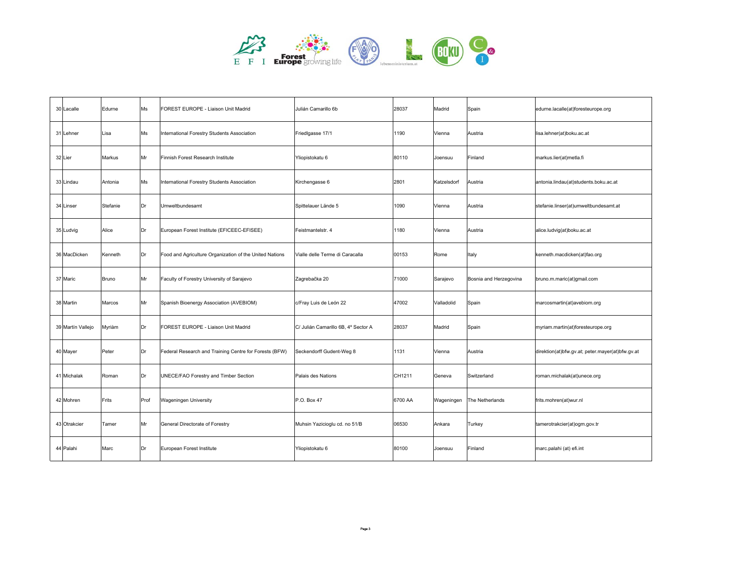

| 30 Lacalle        | Edurne   | Ms   | FOREST EUROPE - Liaison Unit Madrid                     | Julián Camarillo 6b                 | 28037   | Madrid      | Spain                  | edurne.lacalle(at)foresteurope.org               |
|-------------------|----------|------|---------------------------------------------------------|-------------------------------------|---------|-------------|------------------------|--------------------------------------------------|
| 31 Lehner         | Lisa     | Ms   | International Forestry Students Association             | Friedlgasse 17/1                    | 1190    | Vienna      | Austria                | lisa.lehner(at)boku.ac.at                        |
| 32 Lier           | Markus   | Mr   | Finnish Forest Research Institute                       | Yliopistokatu 6                     | 80110   | Joensuu     | Finland                | markus.lier(at)metla.fi                          |
| 33 Lindau         | Antonia  | Ms   | International Forestry Students Association             | Kirchengasse 6                      | 2801    | Katzelsdorf | Austria                | antonia.lindau(at)students.boku.ac.at            |
| 34 Linser         | Stefanie | Dr   | Umweltbundesamt                                         | Spittelauer Lände 5                 | 1090    | Vienna      | Austria                | stefanie.linser(at)umweltbundesamt.at            |
| 35 Ludvig         | Alice    | Dr   | European Forest Institute (EFICEEC-EFISEE)              | Feistmantelstr. 4                   | 1180    | Vienna      | Austria                | alice.ludvig(at)boku.ac.at                       |
| 36 MacDicken      | Kenneth  | Dr   | Food and Agriculture Organization of the United Nations | Vialle delle Terme di Caracalla     | 00153   | Rome        | Italy                  | kenneth.macdicken(at)fao.org                     |
| 37 Maric          | Bruno    | Mr   | Faculty of Forestry University of Sarajevo              | Zagrebačka 20                       | 71000   | Sarajevo    | Bosnia and Herzegovina | bruno.m.maric(at)gmail.com                       |
| 38 Martin         | Marcos   | Mr   | Spanish Bioenergy Association (AVEBIOM)                 | c/Fray Luis de León 22              | 47002   | Valladolid  | Spain                  | marcosmartin(at)avebiom.org                      |
| 39 Martín Vallejo | Myriàm   | Dr   | FOREST EUROPE - Liaison Unit Madrid                     | C/ Julián Camarillo 6B, 4° Sector A | 28037   | Madrid      | Spain                  | myriam.martin(at)foresteurope.org                |
| 40 Mayer          | Peter    | Dr   | Federal Research and Training Centre for Forests (BFW)  | Seckendorff Gudent-Weg 8            | 1131    | Vienna      | Austria                | direktion(at)bfw.gv.at; peter.mayer(at)bfw.gv.at |
| 41 Michalak       | Roman    | Dr   | UNECE/FAO Forestry and Timber Section                   | Palais des Nations                  | CH1211  | Geneva      | Switzerland            | roman.michalak(at)unece.org                      |
| 42 Mohren         | Frits    | Prof | <b>Wageningen University</b>                            | P.O. Box 47                         | 6700 AA | Wageningen  | The Netherlands        | frits.mohren(at)wur.nl                           |
| 43 Otrakcier      | Tamer    | Mr   | General Directorate of Forestry                         | Muhsin Yazicioglu cd. no 51/B       | 06530   | Ankara      | Turkey                 | tamerotrakcier(at)ogm.gov.tr                     |
| 44 Palahi         | Marc     | Dr   | European Forest Institute                               | Yliopistokatu 6                     | 80100   | Joensuu     | Finland                | marc.palahi (at) efi.int                         |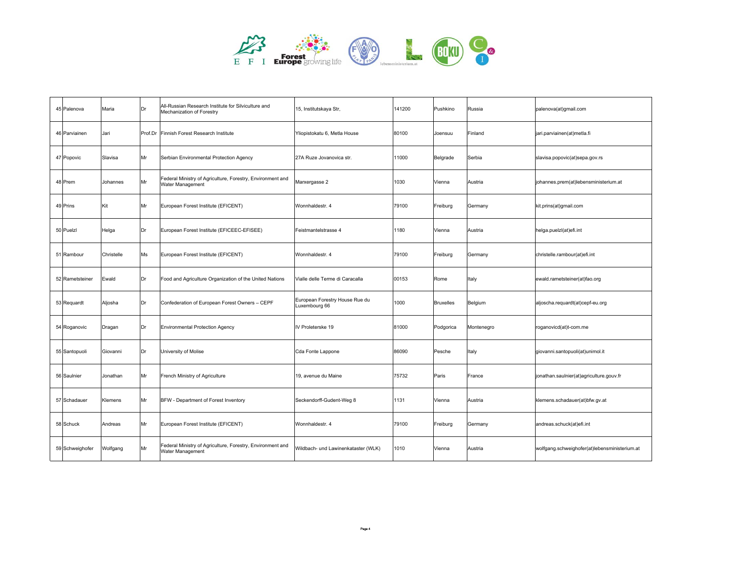

| 45 Palenova     | Maria      | Dr | All-Russian Research Institute for Silviculture and<br>Mechanization of Forestry | 15, Institutskaya Str,                          | 141200 | Pushkino         | Russia     | palenova(at)gmail.com                         |
|-----------------|------------|----|----------------------------------------------------------------------------------|-------------------------------------------------|--------|------------------|------------|-----------------------------------------------|
| 46 Parviainen   | Jari       |    | Prof.Dr Finnish Forest Research Institute                                        | Yliopistokatu 6, Metla House                    | 80100  | Joensuu          | Finland    | jari.parviainen(at)metla.fi                   |
| 47 Popovic      | Slavisa    | Mr | Serbian Environmental Protection Agency                                          | 27A Ruze Jovanovica str.                        | 11000  | Belgrade         | Serbia     | slavisa.popovic(at)sepa.gov.rs                |
| 48 Prem         | Johannes   | Mr | Federal Ministry of Agriculture, Forestry, Environment and<br>Water Management   | Marxergasse 2                                   | 1030   | Vienna           | Austria    | johannes.prem(at)lebensministerium.at         |
| 49 Prins        | Kit        | Mr | European Forest Institute (EFICENT)                                              | Wonnhaldestr, 4                                 | 79100  | Freiburg         | Germany    | kit.prins(at)gmail.com                        |
| 50 Puelzl       | Helga      | Dr | European Forest Institute (EFICEEC-EFISEE)                                       | Feistmantelstrasse 4                            | 1180   | Vienna           | Austria    | helga.puelzl(at)efi.int                       |
| 51 Rambour      | Christelle | Ms | European Forest Institute (EFICENT)                                              | Wonnhaldestr. 4                                 | 79100  | Freiburg         | Germany    | christelle.rambour(at)efi.int                 |
| 52 Rametsteiner | Ewald      | Dr | Food and Agriculture Organization of the United Nations                          | Vialle delle Terme di Caracalla                 | 00153  | Rome             | Italy      | ewald.rametsteiner(at)fao.org                 |
| 53 Requardt     | Aljosha    | Dr | Confederation of European Forest Owners - CEPF                                   | European Forestry House Rue du<br>Luxembourg 66 | 1000   | <b>Bruxelles</b> | Belgium    | aljoscha.requardt(at)cepf-eu.org              |
| 54 Roganovic    | Dragan     | Dr | <b>Environmental Protection Agency</b>                                           | IV Proleterske 19                               | 81000  | Podgorica        | Montenegro | roganovicd(at)t-com.me                        |
| 55 Santopuoli   | Giovanni   | Dr | University of Molise                                                             | Cda Fonte Lappone                               | 86090  | Pesche           | Italy      | giovanni.santopuoli(at)unimol.it              |
| 56 Saulnier     | Jonathan   | Mr | French Ministry of Agriculture                                                   | 19, avenue du Maine                             | 75732  | Paris            | France     | jonathan.saulnier(at)agriculture.gouv.fr      |
| 57 Schadauer    | Klemens    | Mr | BFW - Department of Forest Inventory                                             | Seckendorff-Gudent-Weg 8                        | 1131   | Vienna           | Austria    | klemens.schadauer(at)bfw.gv.at                |
| 58 Schuck       | Andreas    | Mr | European Forest Institute (EFICENT)                                              | Wonnhaldestr. 4                                 | 79100  | Freiburg         | Germany    | andreas.schuck(at)efi.int                     |
| 59 Schweighofer | Wolfgang   | Mr | Federal Ministry of Agriculture, Forestry, Environment and<br>Water Management   | Wildbach- und Lawinenkataster (WLK)             | 1010   | Vienna           | Austria    | wolfgang.schweighofer(at)lebensministerium.at |